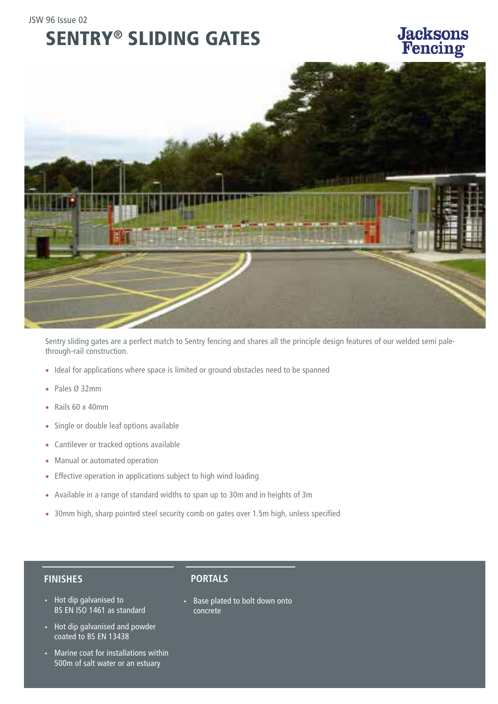### SENTRY® SLIDING GATES

## **Jacksons**<br>Fencing



Sentry sliding gates are a perfect match to Sentry fencing and shares all the principle design features of our welded semi palethrough-rail construction.

- Ideal for applications where space is limited or ground obstacles need to be spanned
- Pales Ø 32mm
- Rails 60 x 40mm
- Single or double leaf options available
- Cantilever or tracked options available
- Manual or automated operation
- Effective operation in applications subject to high wind loading
- Available in a range of standard widths to span up to 30m and in heights of 3m
- 30mm high, sharp pointed steel security comb on gates over 1.5m high, unless specified

#### **FINISHES**

- Hot dip galvanised to BS EN ISO 1461 as standard
- Hot dip galvanised and powder coated to BS EN 13438
- Marine coat for installations within 500m of salt water or an estuary

#### **PORTALS**

• Base plated to bolt down onto concrete